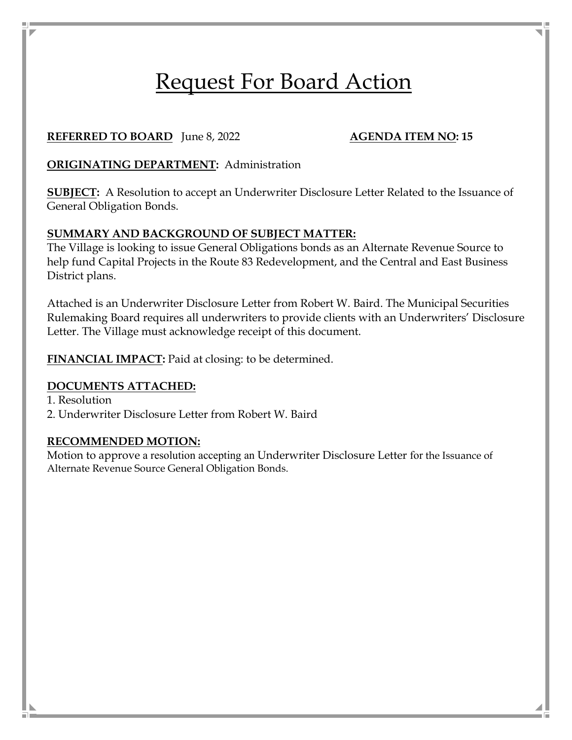# Request For Board Action

## **REFERRED TO BOARD** June 8, 2022 **AGENDA ITEM NO: 15**

# **ORIGINATING DEPARTMENT:** Administration

**SUBJECT:** A Resolution to accept an Underwriter Disclosure Letter Related to the Issuance of General Obligation Bonds.

### **SUMMARY AND BACKGROUND OF SUBJECT MATTER:**

The Village is looking to issue General Obligations bonds as an Alternate Revenue Source to help fund Capital Projects in the Route 83 Redevelopment, and the Central and East Business District plans.

Attached is an Underwriter Disclosure Letter from Robert W. Baird. The Municipal Securities Rulemaking Board requires all underwriters to provide clients with an Underwriters' Disclosure Letter. The Village must acknowledge receipt of this document.

FINANCIAL IMPACT: Paid at closing: to be determined.

#### **DOCUMENTS ATTACHED:**

1. Resolution

2. Underwriter Disclosure Letter from Robert W. Baird

#### **RECOMMENDED MOTION:**

Motion to approve a resolution accepting an Underwriter Disclosure Letter for the Issuance of Alternate Revenue Source General Obligation Bonds.